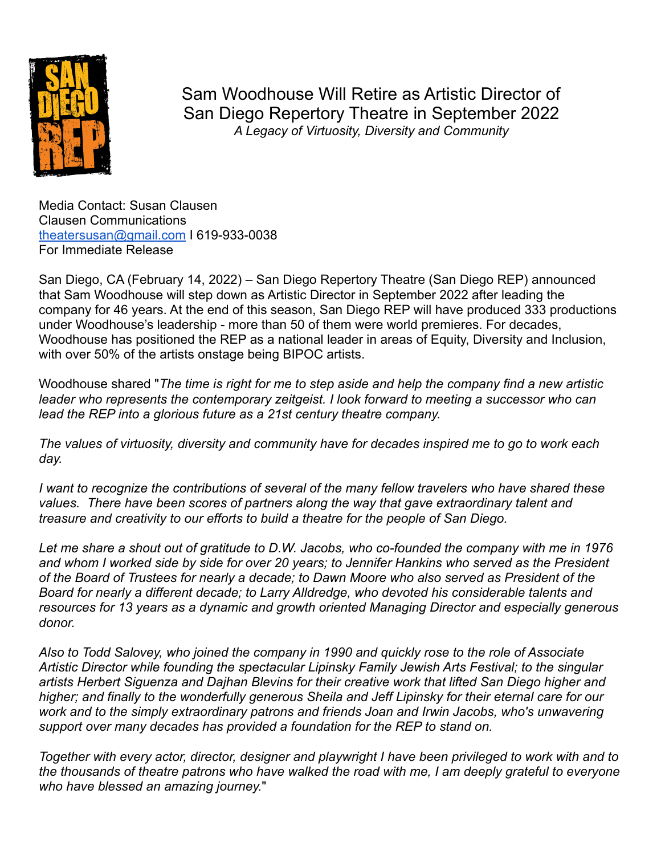

Sam Woodhouse Will Retire as Artistic Director of San Diego Repertory Theatre in September 2022 *A Legacy of Virtuosity, Diversity and Community*

Media Contact: Susan Clausen Clausen Communications [theatersusan@gmail.com](mailto:theatersusan@gmail.com) I 619-933-0038 For Immediate Release

San Diego, CA (February 14, 2022) – San Diego Repertory Theatre (San Diego REP) announced that Sam Woodhouse will step down as Artistic Director in September 2022 after leading the company for 46 years. At the end of this season, San Diego REP will have produced 333 productions under Woodhouse's leadership - more than 50 of them were world premieres. For decades, Woodhouse has positioned the REP as a national leader in areas of Equity, Diversity and Inclusion, with over 50% of the artists onstage being BIPOC artists.

Woodhouse shared "*The time is right for me to step aside and help the company find a new artistic leader who represents the contemporary zeitgeist. I look forward to meeting a successor who can lead the REP into a glorious future as a 21st century theatre company.*

*The values of virtuosity, diversity and community have for decades inspired me to go to work each day.*

*I want to recognize the contributions of several of the many fellow travelers who have shared these values. There have been scores of partners along the way that gave extraordinary talent and treasure and creativity to our efforts to build a theatre for the people of San Diego.*

*Let me share a shout out of gratitude to D.W. Jacobs, who co-founded the company with me in 1976 and whom I worked side by side for over 20 years; to Jennifer Hankins who served as the President of the Board of Trustees for nearly a decade; to Dawn Moore who also served as President of the Board for nearly a different decade; to Larry Alldredge, who devoted his considerable talents and resources for 13 years as a dynamic and growth oriented Managing Director and especially generous donor.*

*Also to Todd Salovey, who joined the company in 1990 and quickly rose to the role of Associate Artistic Director while founding the spectacular Lipinsky Family Jewish Arts Festival; to the singular artists Herbert Siguenza and Dajhan Blevins for their creative work that lifted San Diego higher and higher; and finally to the wonderfully generous Sheila and Jeff Lipinsky for their eternal care for our work and to the simply extraordinary patrons and friends Joan and Irwin Jacobs, who's unwavering support over many decades has provided a foundation for the REP to stand on.*

*Together with every actor, director, designer and playwright I have been privileged to work with and to the thousands of theatre patrons who have walked the road with me, I am deeply grateful to everyone who have blessed an amazing journey.*"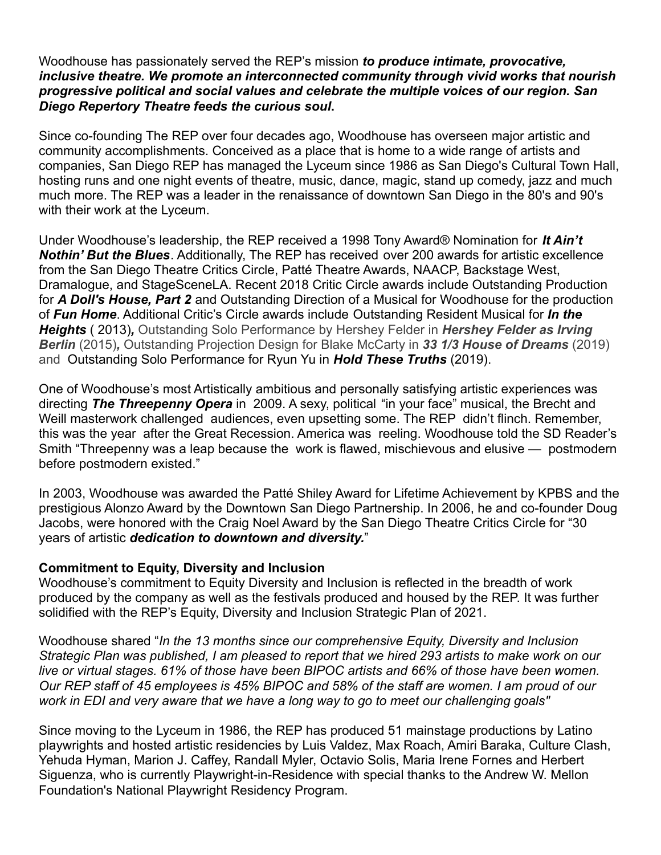## Woodhouse has passionately served the REP's mission *to produce intimate, provocative, inclusive theatre. We promote an interconnected community through vivid works that nourish progressive political and social values and celebrate the multiple voices of our region. San Diego Repertory Theatre feeds the curious soul***.**

Since co-founding The REP over four decades ago, Woodhouse has overseen major artistic and community accomplishments. Conceived as a place that is home to a wide range of artists and companies, San Diego REP has managed the Lyceum since 1986 as San Diego's Cultural Town Hall, hosting runs and one night events of theatre, music, dance, magic, stand up comedy, jazz and much much more. The REP was a leader in the renaissance of downtown San Diego in the 80's and 90's with their work at the Lyceum.

Under Woodhouse's leadership, the REP received a 1998 Tony Award® Nomination for *It Ain't Nothin' But the Blues*. Additionally, The REP has received over 200 awards for artistic excellence from the San Diego Theatre Critics Circle, Patté Theatre Awards, NAACP, Backstage West, Dramalogue, and StageSceneLA. Recent 2018 Critic Circle awards include Outstanding Production for *A Doll's House, Part 2* and Outstanding Direction of a Musical for Woodhouse for the production of *Fun Home*. Additional Critic's Circle awards include Outstanding Resident Musical for *In the Heights* ( 2013)*,* Outstanding Solo Performance by Hershey Felder in *Hershey Felder as Irving Berlin* (2015)*,* Outstanding Projection Design for Blake McCarty in *33 1/3 House of Dreams* (2019) and Outstanding Solo Performance for Ryun Yu in *Hold These Truths* (2019).

One of Woodhouse's most Artistically ambitious and personally satisfying artistic experiences was directing *The Threepenny Opera* in 2009. A sexy, political "in your face" musical, the Brecht and Weill masterwork challenged audiences, even upsetting some. The REP didn't flinch. Remember, this was the year after the Great Recession. America was reeling. Woodhouse told the SD Reader's Smith "Threepenny was a leap because the work is flawed, mischievous and elusive — postmodern before postmodern existed."

In 2003, Woodhouse was awarded the Patté Shiley Award for Lifetime Achievement by KPBS and the prestigious Alonzo Award by the Downtown San Diego Partnership. In 2006, he and co-founder Doug Jacobs, were honored with the Craig Noel Award by the San Diego Theatre Critics Circle for "30 years of artistic *dedication to downtown and diversity.*"

## **Commitment to Equity, Diversity and Inclusion**

Woodhouse's commitment to Equity Diversity and Inclusion is reflected in the breadth of work produced by the company as well as the festivals produced and housed by the REP. It was further solidified with the REP's Equity, Diversity and Inclusion Strategic Plan of 2021.

Woodhouse shared "*In the 13 months since our comprehensive Equity, Diversity and Inclusion Strategic Plan was published, I am pleased to report that we hired 293 artists to make work on our live or virtual stages. 61% of those have been BIPOC artists and 66% of those have been women. Our REP staff of 45 employees is 45% BIPOC and 58% of the staff are women. I am proud of our work in EDI and very aware that we have a long way to go to meet our challenging goals"*

Since moving to the Lyceum in 1986, the REP has produced 51 mainstage productions by Latino playwrights and hosted artistic residencies by Luis Valdez, Max Roach, Amiri Baraka, Culture Clash, Yehuda Hyman, Marion J. Caffey, Randall Myler, Octavio Solis, Maria Irene Fornes and Herbert Siguenza, who is currently Playwright-in-Residence with special thanks to the Andrew W. Mellon Foundation's National Playwright Residency Program.